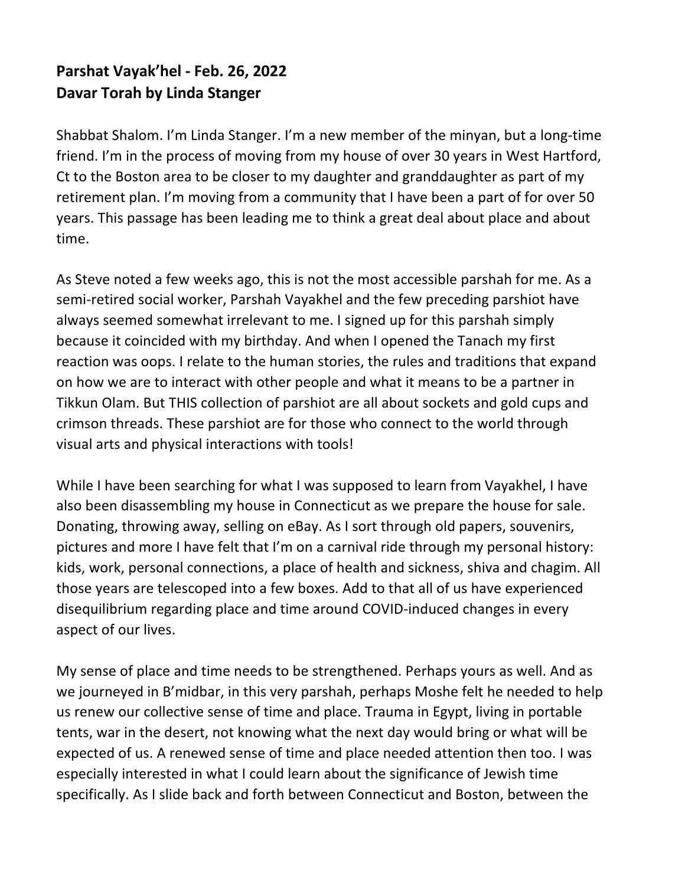## **Parshat Vayak'hel - Feb. 26, 2022 Davar Torah by Linda Stanger**

Shabbat Shalom. I'm Linda Stanger. I'm a new member of the minyan, but a long-time friend. I'm in the process of moving from my house of over 30 years in West Hartford, Ct to the Boston area to be closer to my daughter and granddaughter as part of my retirement plan. I'm moving from a community that I have been a part of for over 50 years. This passage has been leading me to think a great deal about place and about time.

As Steve noted a few weeks ago, this is not the most accessible parshah for me. As a semi-retired social worker, Parshah Vayakhel and the few preceding parshiot have always seemed somewhat irrelevant to me. I signed up for this parshah simply because it coincided with my birthday. And when I opened the Tanach my first reaction was oops. I relate to the human stories, the rules and traditions that expand on how we are to interact with other people and what it means to be a partner in Tikkun Olam. But THIS collection of parshiot are all about sockets and gold cups and crimson threads. These parshiot are for those who connect to the world through visual arts and physical interactions with tools!

While I have been searching for what I was supposed to learn from Vayakhel, I have also been disassembling my house in Connecticut as we prepare the house for sale. Donating, throwing away, selling on eBay. As I sort through old papers, souvenirs, pictures and more I have felt that I'm on a carnival ride through my personal history: kids, work, personal connections, a place of health and sickness, shiva and chagim. All those years are telescoped into a few boxes. Add to that all of us have experienced disequilibrium regarding place and time around COVID-induced changes in every aspect of our lives.

My sense of place and time needs to be strengthened. Perhaps yours as well. And as we journeyed in B'midbar, in this very parshah, perhaps Moshe felt he needed to help us renew our collective sense of time and place. Trauma in Egypt, living in portable tents, war in the desert, not knowing what the next day would bring or what will be expected of us. A renewed sense of time and place needed attention then too. I was especially interested in what I could learn about the significance of Jewish time specifically. As I slide back and forth between Connecticut and Boston, between the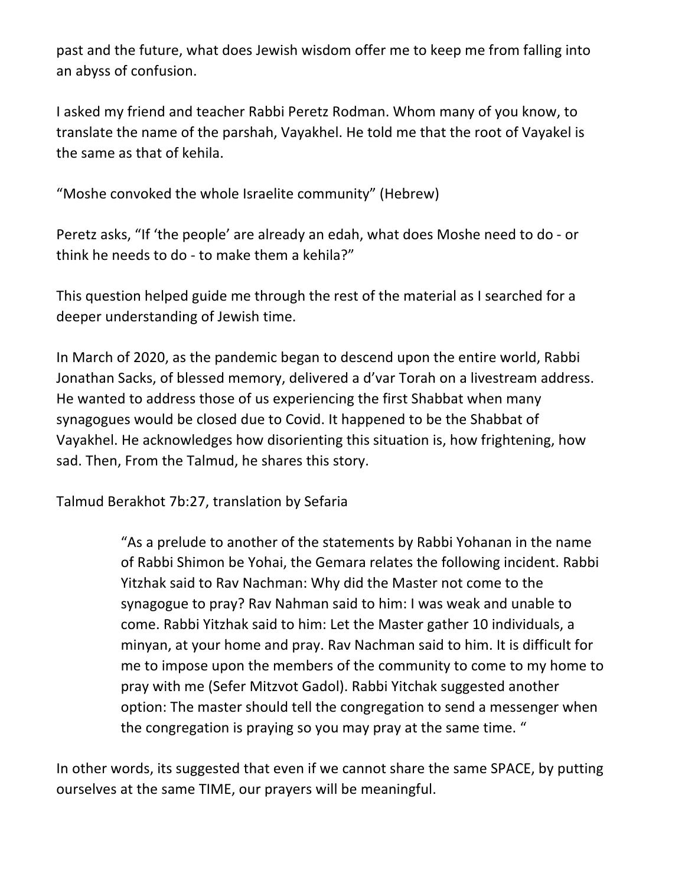past and the future, what does Jewish wisdom offer me to keep me from falling into an abyss of confusion.

I asked my friend and teacher Rabbi Peretz Rodman. Whom many of you know, to translate the name of the parshah, Vayakhel. He told me that the root of Vayakel is the same as that of kehila.

"Moshe convoked the whole Israelite community" (Hebrew)

Peretz asks, "If 'the people' are already an edah, what does Moshe need to do - or think he needs to do - to make them a kehila?"

This question helped guide me through the rest of the material as I searched for a deeper understanding of Jewish time.

In March of 2020, as the pandemic began to descend upon the entire world, Rabbi Jonathan Sacks, of blessed memory, delivered a d'var Torah on a livestream address. He wanted to address those of us experiencing the first Shabbat when many synagogues would be closed due to Covid. It happened to be the Shabbat of Vayakhel. He acknowledges how disorienting this situation is, how frightening, how sad. Then, From the Talmud, he shares this story.

Talmud Berakhot 7b:27, translation by Sefaria

"As a prelude to another of the statements by Rabbi Yohanan in the name of Rabbi Shimon be Yohai, the Gemara relates the following incident. Rabbi Yitzhak said to Rav Nachman: Why did the Master not come to the synagogue to pray? Rav Nahman said to him: I was weak and unable to come. Rabbi Yitzhak said to him: Let the Master gather 10 individuals, a minyan, at your home and pray. Rav Nachman said to him. It is difficult for me to impose upon the members of the community to come to my home to pray with me (Sefer Mitzvot Gadol). Rabbi Yitchak suggested another option: The master should tell the congregation to send a messenger when the congregation is praying so you may pray at the same time. "

In other words, its suggested that even if we cannot share the same SPACE, by putting ourselves at the same TIME, our prayers will be meaningful.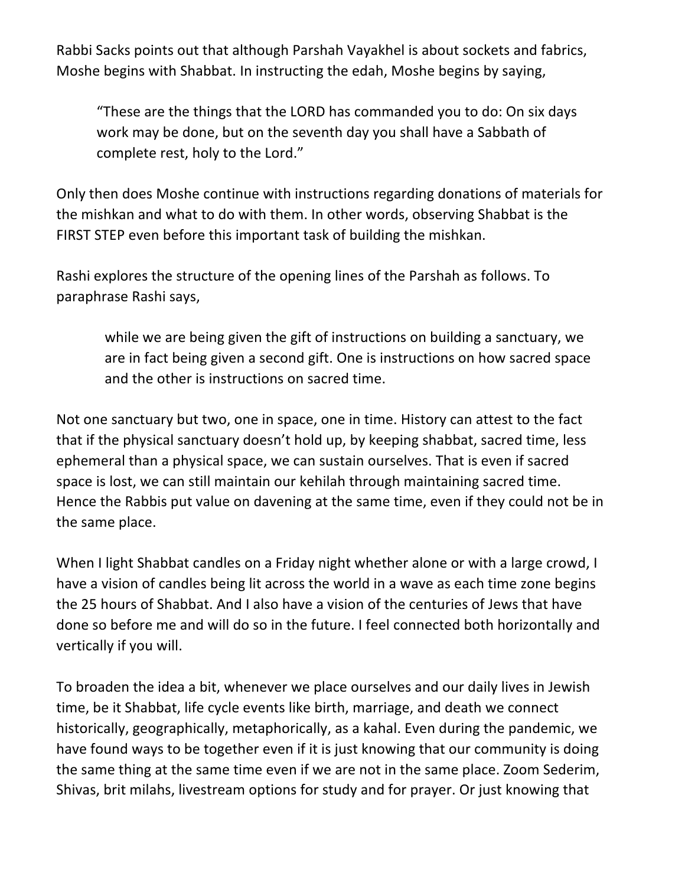Rabbi Sacks points out that although Parshah Vayakhel is about sockets and fabrics, Moshe begins with Shabbat. In instructing the edah, Moshe begins by saying,

"These are the things that the LORD has commanded you to do: On six days work may be done, but on the seventh day you shall have a Sabbath of complete rest, holy to the Lord."

Only then does Moshe continue with instructions regarding donations of materials for the mishkan and what to do with them. In other words, observing Shabbat is the FIRST STEP even before this important task of building the mishkan.

Rashi explores the structure of the opening lines of the Parshah as follows. To paraphrase Rashi says,

while we are being given the gift of instructions on building a sanctuary, we are in fact being given a second gift. One is instructions on how sacred space and the other is instructions on sacred time.

Not one sanctuary but two, one in space, one in time. History can attest to the fact that if the physical sanctuary doesn't hold up, by keeping shabbat, sacred time, less ephemeral than a physical space, we can sustain ourselves. That is even if sacred space is lost, we can still maintain our kehilah through maintaining sacred time. Hence the Rabbis put value on davening at the same time, even if they could not be in the same place.

When I light Shabbat candles on a Friday night whether alone or with a large crowd, I have a vision of candles being lit across the world in a wave as each time zone begins the 25 hours of Shabbat. And I also have a vision of the centuries of Jews that have done so before me and will do so in the future. I feel connected both horizontally and vertically if you will.

To broaden the idea a bit, whenever we place ourselves and our daily lives in Jewish time, be it Shabbat, life cycle events like birth, marriage, and death we connect historically, geographically, metaphorically, as a kahal. Even during the pandemic, we have found ways to be together even if it is just knowing that our community is doing the same thing at the same time even if we are not in the same place. Zoom Sederim, Shivas, brit milahs, livestream options for study and for prayer. Or just knowing that